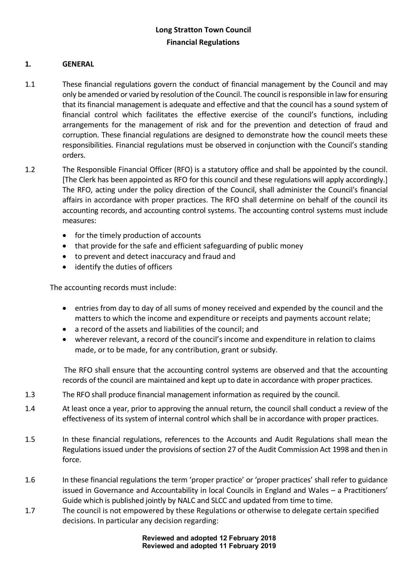#### **1. GENERAL**

- 1.1 These financial regulations govern the conduct of financial management by the Council and may only be amended or varied by resolution of the Council. The council is responsible in law for ensuring that its financial management is adequate and effective and that the council has a sound system of financial control which facilitates the effective exercise of the council's functions, including arrangements for the management of risk and for the prevention and detection of fraud and corruption. These financial regulations are designed to demonstrate how the council meets these responsibilities. Financial regulations must be observed in conjunction with the Council's standing orders.
- 1.2 The Responsible Financial Officer (RFO) is a statutory office and shall be appointed by the council. [The Clerk has been appointed as RFO for this council and these regulations will apply accordingly.] The RFO, acting under the policy direction of the Council, shall administer the Council's financial affairs in accordance with proper practices. The RFO shall determine on behalf of the council its accounting records, and accounting control systems. The accounting control systems must include measures:
	- for the timely production of accounts
	- that provide for the safe and efficient safeguarding of public money
	- to prevent and detect inaccuracy and fraud and
	- identify the duties of officers

The accounting records must include:

- entries from day to day of all sums of money received and expended by the council and the matters to which the income and expenditure or receipts and payments account relate;
- a record of the assets and liabilities of the council; and
- wherever relevant, a record of the council's income and expenditure in relation to claims made, or to be made, for any contribution, grant or subsidy.

The RFO shall ensure that the accounting control systems are observed and that the accounting records of the council are maintained and kept up to date in accordance with proper practices.

- 1.3 The RFO shall produce financial management information as required by the council.
- 1.4 At least once a year, prior to approving the annual return, the council shall conduct a review of the effectiveness of its system of internal control which shall be in accordance with proper practices.
- 1.5 In these financial regulations, references to the Accounts and Audit Regulations shall mean the Regulations issued under the provisions of section 27 of the Audit Commission Act 1998 and then in force.
- 1.6 In these financial regulations the term 'proper practice' or 'proper practices' shall refer to guidance issued in Governance and Accountability in local Councils in England and Wales – a Practitioners' Guide which is published jointly by NALC and SLCC and updated from time to time.
- 1.7 The council is not empowered by these Regulations or otherwise to delegate certain specified decisions. In particular any decision regarding: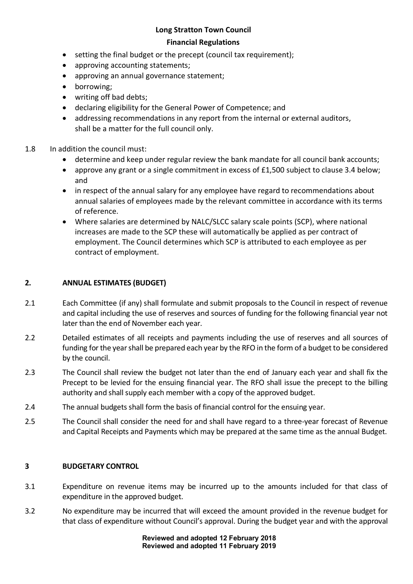# **Long Stratton Town Council**

#### **Financial Regulations**

- setting the final budget or the precept (council tax requirement);
- approving accounting statements;
- approving an annual governance statement;
- borrowing;
- writing off bad debts;
- declaring eligibility for the General Power of Competence; and
- addressing recommendations in any report from the internal or external auditors, shall be a matter for the full council only.
- 1.8 In addition the council must:
	- determine and keep under regular review the bank mandate for all council bank accounts;
	- approve any grant or a single commitment in excess of £1,500 subject to clause 3.4 below; and
	- in respect of the annual salary for any employee have regard to recommendations about annual salaries of employees made by the relevant committee in accordance with its terms of reference.
	- Where salaries are determined by NALC/SLCC salary scale points (SCP), where national increases are made to the SCP these will automatically be applied as per contract of employment. The Council determines which SCP is attributed to each employee as per contract of employment.

#### **2. ANNUAL ESTIMATES (BUDGET)**

- 2.1 Each Committee (if any) shall formulate and submit proposals to the Council in respect of revenue and capital including the use of reserves and sources of funding for the following financial year not later than the end of November each year.
- 2.2 Detailed estimates of all receipts and payments including the use of reserves and all sources of funding for the year shall be prepared each year by the RFO in the form of a budget to be considered by the council.
- 2.3 The Council shall review the budget not later than the end of January each year and shall fix the Precept to be levied for the ensuing financial year. The RFO shall issue the precept to the billing authority and shall supply each member with a copy of the approved budget.
- 2.4 The annual budgets shall form the basis of financial control for the ensuing year.
- 2.5 The Council shall consider the need for and shall have regard to a three-year forecast of Revenue and Capital Receipts and Payments which may be prepared at the same time as the annual Budget.

#### **3 BUDGETARY CONTROL**

- 3.1 Expenditure on revenue items may be incurred up to the amounts included for that class of expenditure in the approved budget.
- 3.2 No expenditure may be incurred that will exceed the amount provided in the revenue budget for that class of expenditure without Council's approval. During the budget year and with the approval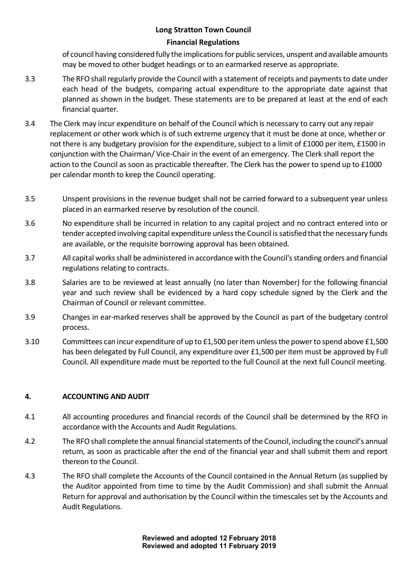of council having considered fully the implications for public services, unspent and available amounts may be moved to other budget headings or to an earmarked reserve as appropriate.

- 3.3 The RFO shall regularly provide the Council with a statement of receipts and payments to date under each head of the budgets, comparing actual expenditure to the appropriate date against that planned as shown in the budget. These statements are to be prepared at least at the end of each financial quarter.
- 3.4 The Clerk may incur expenditure on behalf of the Council which is necessary to carry out any repair replacement or other work which is of such extreme urgency that it must be done at once, whether or not there is any budgetary provision for the expenditure, subject to a limit of £1000 per item, £1500 in conjunction with the Chairman/ Vice-Chair in the event of an emergency. The Clerk shall report the action to the Council as soon as practicable thereafter. The Clerk has the power to spend up to £1000 per calendar month to keep the Council operating.
- 3.5 Unspent provisions in the revenue budget shall not be carried forward to a subsequent year unless placed in an earmarked reserve by resolution of the council.
- 3.6 No expenditure shall be incurred in relation to any capital project and no contract entered into or tender accepted involving capital expenditure unless the Council is satisfied that the necessary funds are available, or the requisite borrowing approval has been obtained.
- 3.7 All capital works shall be administered in accordance with the Council's standing orders and financial regulations relating to contracts.
- 3.8 Salaries are to be reviewed at least annually (no later than November) for the following financial year and such review shall be evidenced by a hard copy schedule signed by the Clerk and the Chairman of Council or relevant committee.
- 3.9 Changes in ear-marked reserves shall be approved by the Council as part of the budgetary control process.
- 3.10 Committees can incur expenditure of up to £1,500 per item unless the power to spend above £1,500 has been delegated by Full Council, any expenditure over £1,500 per item must be approved by Full Council. All expenditure made must be reported to the full Council at the next full Council meeting.

### **4. ACCOUNTING AND AUDIT**

- 4.1 All accounting procedures and financial records of the Council shall be determined by the RFO in accordance with the Accounts and Audit Regulations.
- 4.2 The RFO shall complete the annual financial statements of the Council, including the council's annual return, as soon as practicable after the end of the financial year and shall submit them and report thereon to the Council.
- 4.3 The RFO shall complete the Accounts of the Council contained in the Annual Return (as supplied by the Auditor appointed from time to time by the Audit Commission) and shall submit the Annual Return for approval and authorisation by the Council within the timescales set by the Accounts and Audit Regulations.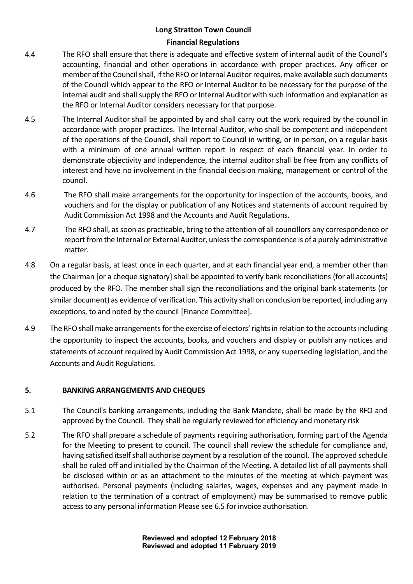- 4.4 The RFO shall ensure that there is adequate and effective system of internal audit of the Council's accounting, financial and other operations in accordance with proper practices. Any officer or member of the Council shall, if the RFO or Internal Auditor requires, make available such documents of the Council which appear to the RFO or Internal Auditor to be necessary for the purpose of the internal audit and shall supply the RFO or Internal Auditor with such information and explanation as the RFO or Internal Auditor considers necessary for that purpose.
- 4.5 The Internal Auditor shall be appointed by and shall carry out the work required by the council in accordance with proper practices. The Internal Auditor, who shall be competent and independent of the operations of the Council, shall report to Council in writing, or in person, on a regular basis with a minimum of one annual written report in respect of each financial year. In order to demonstrate objectivity and independence, the internal auditor shall be free from any conflicts of interest and have no involvement in the financial decision making, management or control of the council.
- 4.6 The RFO shall make arrangements for the opportunity for inspection of the accounts, books, and vouchers and for the display or publication of any Notices and statements of account required by Audit Commission Act 1998 and the Accounts and Audit Regulations.
- 4.7 The RFO shall, as soon as practicable, bring to the attention of all councillors any correspondence or report from the Internal or External Auditor, unless the correspondence is of a purely administrative matter.
- 4.8 On a regular basis, at least once in each quarter, and at each financial year end, a member other than the Chairman [or a cheque signatory] shall be appointed to verify bank reconciliations (for all accounts) produced by the RFO. The member shall sign the reconciliations and the original bank statements (or similar document) as evidence of verification. This activity shall on conclusion be reported, including any exceptions, to and noted by the council [Finance Committee].
- 4.9 The RFO shall make arrangements for the exercise of electors' rights in relation to the accounts including the opportunity to inspect the accounts, books, and vouchers and display or publish any notices and statements of account required by Audit Commission Act 1998, or any superseding legislation, and the Accounts and Audit Regulations.

#### **5. BANKING ARRANGEMENTS AND CHEQUES**

- 5.1 The Council's banking arrangements, including the Bank Mandate, shall be made by the RFO and approved by the Council. They shall be regularly reviewed for efficiency and monetary risk
- 5.2 The RFO shall prepare a schedule of payments requiring authorisation, forming part of the Agenda for the Meeting to present to council. The council shall review the schedule for compliance and, having satisfied itself shall authorise payment by a resolution of the council. The approved schedule shall be ruled off and initialled by the Chairman of the Meeting. A detailed list of all payments shall be disclosed within or as an attachment to the minutes of the meeting at which payment was authorised. Personal payments (including salaries, wages, expenses and any payment made in relation to the termination of a contract of employment) may be summarised to remove public access to any personal information Please see 6.5 for invoice authorisation.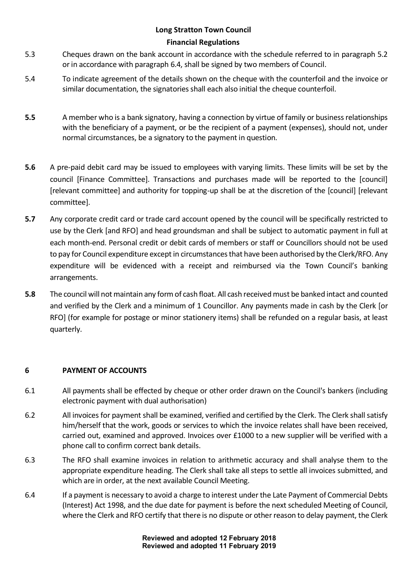- 5.3 Cheques drawn on the bank account in accordance with the schedule referred to in paragraph 5.2 or in accordance with paragraph 6.4, shall be signed by two members of Council.
- 5.4 To indicate agreement of the details shown on the cheque with the counterfoil and the invoice or similar documentation, the signatories shall each also initial the cheque counterfoil.
- **5.5** A member who is a bank signatory, having a connection by virtue of family or business relationships with the beneficiary of a payment, or be the recipient of a payment (expenses), should not, under normal circumstances, be a signatory to the payment in question.
- **5.6** A pre-paid debit card may be issued to employees with varying limits. These limits will be set by the council [Finance Committee]. Transactions and purchases made will be reported to the [council] [relevant committee] and authority for topping-up shall be at the discretion of the [council] [relevant committee].
- **5.7** Any corporate credit card or trade card account opened by the council will be specifically restricted to use by the Clerk [and RFO] and head groundsman and shall be subject to automatic payment in full at each month-end. Personal credit or debit cards of members or staff or Councillors should not be used to pay for Council expenditure except in circumstances that have been authorised by the Clerk/RFO. Any expenditure will be evidenced with a receipt and reimbursed via the Town Council's banking arrangements.
- **5.8** The council will not maintain any form of cash float. All cash received must be banked intact and counted and verified by the Clerk and a minimum of 1 Councillor. Any payments made in cash by the Clerk [or RFO] (for example for postage or minor stationery items) shall be refunded on a regular basis, at least quarterly.

#### **6 PAYMENT OF ACCOUNTS**

- 6.1 All payments shall be effected by cheque or other order drawn on the Council's bankers (including electronic payment with dual authorisation)
- 6.2 All invoices for payment shall be examined, verified and certified by the Clerk. The Clerk shall satisfy him/herself that the work, goods or services to which the invoice relates shall have been received, carried out, examined and approved. Invoices over £1000 to a new supplier will be verified with a phone call to confirm correct bank details.
- 6.3 The RFO shall examine invoices in relation to arithmetic accuracy and shall analyse them to the appropriate expenditure heading. The Clerk shall take all steps to settle all invoices submitted, and which are in order, at the next available Council Meeting.
- 6.4 If a payment is necessary to avoid a charge to interest under the Late Payment of Commercial Debts (Interest) Act 1998, and the due date for payment is before the next scheduled Meeting of Council, where the Clerk and RFO certify that there is no dispute or other reason to delay payment, the Clerk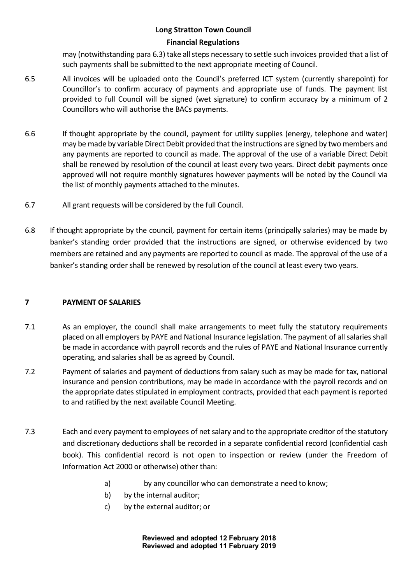may (notwithstanding para 6.3) take all steps necessary to settle such invoices provided that a list of such payments shall be submitted to the next appropriate meeting of Council.

- 6.5 All invoices will be uploaded onto the Council's preferred ICT system (currently sharepoint) for Councillor's to confirm accuracy of payments and appropriate use of funds. The payment list provided to full Council will be signed (wet signature) to confirm accuracy by a minimum of 2 Councillors who will authorise the BACs payments.
- 6.6 If thought appropriate by the council, payment for utility supplies (energy, telephone and water) may be made by variable Direct Debit provided that the instructions are signed by two members and any payments are reported to council as made. The approval of the use of a variable Direct Debit shall be renewed by resolution of the council at least every two years. Direct debit payments once approved will not require monthly signatures however payments will be noted by the Council via the list of monthly payments attached to the minutes.
- 6.7 All grant requests will be considered by the full Council.
- 6.8 If thought appropriate by the council, payment for certain items (principally salaries) may be made by banker's standing order provided that the instructions are signed, or otherwise evidenced by two members are retained and any payments are reported to council as made. The approval of the use of a banker's standing order shall be renewed by resolution of the council at least every two years.

### **7 PAYMENT OF SALARIES**

- 7.1 As an employer, the council shall make arrangements to meet fully the statutory requirements placed on all employers by PAYE and National Insurance legislation. The payment of all salaries shall be made in accordance with payroll records and the rules of PAYE and National Insurance currently operating, and salaries shall be as agreed by Council.
- 7.2 Payment of salaries and payment of deductions from salary such as may be made for tax, national insurance and pension contributions, may be made in accordance with the payroll records and on the appropriate dates stipulated in employment contracts, provided that each payment is reported to and ratified by the next available Council Meeting.
- 7.3 Each and every payment to employees of net salary and to the appropriate creditor of the statutory and discretionary deductions shall be recorded in a separate confidential record (confidential cash book). This confidential record is not open to inspection or review (under the Freedom of Information Act 2000 or otherwise) other than:
	- a) by any councillor who can demonstrate a need to know;
	- b) by the internal auditor;
	- c) by the external auditor; or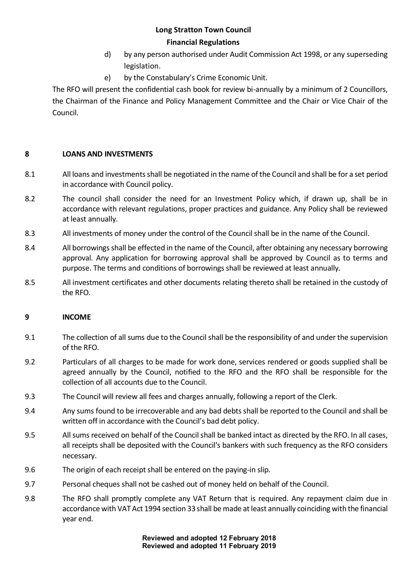- d) by any person authorised under Audit Commission Act 1998, or any superseding legislation.
- e) by the Constabulary's Crime Economic Unit.

The RFO will present the confidential cash book for review bi-annually by a minimum of 2 Councillors, the Chairman of the Finance and Policy Management Committee and the Chair or Vice Chair of the Council.

### **8 LOANS AND INVESTMENTS**

- 8.1 All loans and investments shall be negotiated in the name of the Council and shall be for a set period in accordance with Council policy.
- 8.2 The council shall consider the need for an Investment Policy which, if drawn up, shall be in accordance with relevant regulations, proper practices and guidance. Any Policy shall be reviewed at least annually.
- 8.3 All investments of money under the control of the Council shall be in the name of the Council.
- 8.4 All borrowings shall be effected in the name of the Council, after obtaining any necessary borrowing approval. Any application for borrowing approval shall be approved by Council as to terms and purpose. The terms and conditions of borrowings shall be reviewed at least annually.
- 8.5 All investment certificates and other documents relating thereto shall be retained in the custody of the RFO.

#### **9 INCOME**

- 9.1 The collection of all sums due to the Council shall be the responsibility of and under the supervision of the RFO.
- 9.2 Particulars of all charges to be made for work done, services rendered or goods supplied shall be agreed annually by the Council, notified to the RFO and the RFO shall be responsible for the collection of all accounts due to the Council.
- 9.3 The Council will review all fees and charges annually, following a report of the Clerk.
- 9.4 Any sums found to be irrecoverable and any bad debts shall be reported to the Council and shall be written off in accordance with the Council's bad debt policy.
- 9.5 All sums received on behalf of the Council shall be banked intact as directed by the RFO. In all cases, all receipts shall be deposited with the Council's bankers with such frequency as the RFO considers necessary.
- 9.6 The origin of each receipt shall be entered on the paying-in slip.
- 9.7 Personal cheques shall not be cashed out of money held on behalf of the Council.
- 9.8 The RFO shall promptly complete any VAT Return that is required. Any repayment claim due in accordance with VAT Act 1994 section 33 shall be made at least annually coinciding with the financial year end.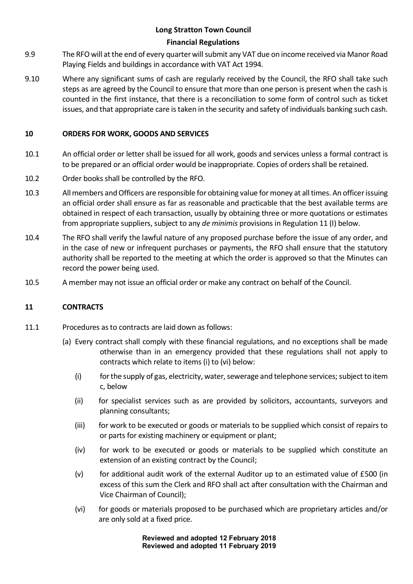- 9.9 The RFO will at the end of every quarter will submit any VAT due on income received via Manor Road Playing Fields and buildings in accordance with VAT Act 1994.
- 9.10 Where any significant sums of cash are regularly received by the Council, the RFO shall take such steps as are agreed by the Council to ensure that more than one person is present when the cash is counted in the first instance, that there is a reconciliation to some form of control such as ticket issues, and that appropriate care is taken in the security and safety of individuals banking such cash.

#### **10 ORDERS FOR WORK, GOODS AND SERVICES**

- 10.1 An official order or letter shall be issued for all work, goods and services unless a formal contract is to be prepared or an official order would be inappropriate. Copies of orders shall be retained.
- 10.2 Order books shall be controlled by the RFO.
- 10.3 All members and Officers are responsible for obtaining value for money at all times. An officer issuing an official order shall ensure as far as reasonable and practicable that the best available terms are obtained in respect of each transaction, usually by obtaining three or more quotations or estimates from appropriate suppliers, subject to any *de minimis* provisions in Regulation 11 (I) below.
- 10.4 The RFO shall verify the lawful nature of any proposed purchase before the issue of any order, and in the case of new or infrequent purchases or payments, the RFO shall ensure that the statutory authority shall be reported to the meeting at which the order is approved so that the Minutes can record the power being used.
- 10.5 A member may not issue an official order or make any contract on behalf of the Council.

#### **11 CONTRACTS**

- 11.1 Procedures as to contracts are laid down as follows:
	- (a) Every contract shall comply with these financial regulations, and no exceptions shall be made otherwise than in an emergency provided that these regulations shall not apply to contracts which relate to items (i) to (vi) below:
		- (i) for the supply of gas, electricity, water, sewerage and telephone services; subject to item c, below
		- (ii) for specialist services such as are provided by solicitors, accountants, surveyors and planning consultants;
		- (iii) for work to be executed or goods or materials to be supplied which consist of repairs to or parts for existing machinery or equipment or plant;
		- (iv) for work to be executed or goods or materials to be supplied which constitute an extension of an existing contract by the Council;
		- $(v)$  for additional audit work of the external Auditor up to an estimated value of £500 (in excess of this sum the Clerk and RFO shall act after consultation with the Chairman and Vice Chairman of Council);
		- (vi) for goods or materials proposed to be purchased which are proprietary articles and/or are only sold at a fixed price.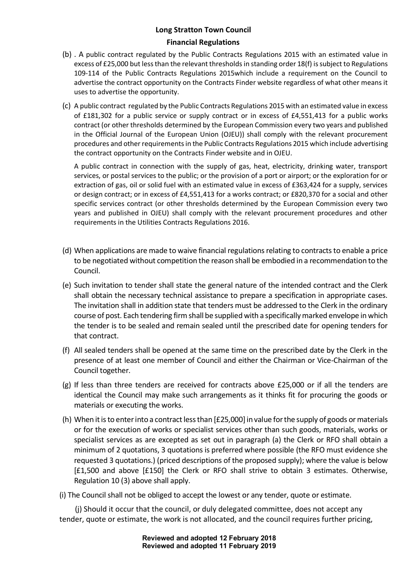- (b) . A public contract regulated by the Public Contracts Regulations 2015 with an estimated value in excess of £25,000 but less than the relevant thresholds in standing order 18(f) is subject to Regulations 109-114 of the Public Contracts Regulations 2015which include a requirement on the Council to advertise the contract opportunity on the Contracts Finder website regardless of what other means it uses to advertise the opportunity.
- (c) A public contract regulated by the Public Contracts Regulations 2015 with an estimated value in excess of £181,302 for a public service or supply contract or in excess of £4,551,413 for a public works contract (or other thresholds determined by the European Commission every two years and published in the Official Journal of the European Union (OJEU)) shall comply with the relevant procurement procedures and other requirements in the Public Contracts Regulations 2015 which include advertising the contract opportunity on the Contracts Finder website and in OJEU.

A public contract in connection with the supply of gas, heat, electricity, drinking water, transport services, or postal services to the public; or the provision of a port or airport; or the exploration for or extraction of gas, oil or solid fuel with an estimated value in excess of £363,424 for a supply, services or design contract; or in excess of £4,551,413 for a works contract; or £820,370 for a social and other specific services contract (or other thresholds determined by the European Commission every two years and published in OJEU) shall comply with the relevant procurement procedures and other requirements in the Utilities Contracts Regulations 2016.

- (d) When applications are made to waive financial regulations relating to contracts to enable a price to be negotiated without competition the reason shall be embodied in a recommendation to the Council.
- (e) Such invitation to tender shall state the general nature of the intended contract and the Clerk shall obtain the necessary technical assistance to prepare a specification in appropriate cases. The invitation shall in addition state that tenders must be addressed to the Clerk in the ordinary course of post. Each tendering firm shall be supplied with a specifically marked envelope in which the tender is to be sealed and remain sealed until the prescribed date for opening tenders for that contract.
- (f) All sealed tenders shall be opened at the same time on the prescribed date by the Clerk in the presence of at least one member of Council and either the Chairman or Vice-Chairman of the Council together.
- (g) If less than three tenders are received for contracts above £25,000 or if all the tenders are identical the Council may make such arrangements as it thinks fit for procuring the goods or materials or executing the works.
- (h) When it is to enter into a contract less than [£25,000] in value for the supply of goods or materials or for the execution of works or specialist services other than such goods, materials, works or specialist services as are excepted as set out in paragraph (a) the Clerk or RFO shall obtain a minimum of 2 quotations, 3 quotations is preferred where possible (the RFO must evidence she requested 3 quotations.) (priced descriptions of the proposed supply); where the value is below [£1,500 and above [£150] the Clerk or RFO shall strive to obtain 3 estimates. Otherwise, Regulation 10 (3) above shall apply.

(i) The Council shall not be obliged to accept the lowest or any tender, quote or estimate.

(j) Should it occur that the council, or duly delegated committee, does not accept any tender, quote or estimate, the work is not allocated, and the council requires further pricing,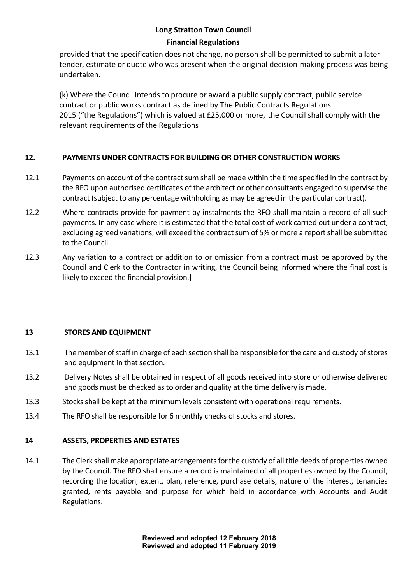provided that the specification does not change, no person shall be permitted to submit a later tender, estimate or quote who was present when the original decision-making process was being undertaken.

(k) Where the Council intends to procure or award a public supply contract, public service contract or public works contract as defined by The Public Contracts Regulations 2015 ("the Regulations") which is valued at £25,000 or more, the Council shall comply with the relevant requirements of the Regulations

### **12. PAYMENTS UNDER CONTRACTS FOR BUILDING OR OTHER CONSTRUCTION WORKS**

- 12.1 Payments on account of the contract sum shall be made within the time specified in the contract by the RFO upon authorised certificates of the architect or other consultants engaged to supervise the contract (subject to any percentage withholding as may be agreed in the particular contract).
- 12.2 Where contracts provide for payment by instalments the RFO shall maintain a record of all such payments. In any case where it is estimated that the total cost of work carried out under a contract, excluding agreed variations, will exceed the contract sum of 5% or more a report shall be submitted to the Council.
- 12.3 Any variation to a contract or addition to or omission from a contract must be approved by the Council and Clerk to the Contractor in writing, the Council being informed where the final cost is likely to exceed the financial provision.]

### **13 STORES AND EQUIPMENT**

- 13.1 The member of staff in charge of each section shall be responsible for the care and custody of stores and equipment in that section.
- 13.2 Delivery Notes shall be obtained in respect of all goods received into store or otherwise delivered and goods must be checked as to order and quality at the time delivery is made.
- 13.3 Stocks shall be kept at the minimum levels consistent with operational requirements.
- 13.4 The RFO shall be responsible for 6 monthly checks of stocks and stores.

#### **14 ASSETS, PROPERTIES AND ESTATES**

14.1 The Clerk shall make appropriate arrangements for the custody of all title deeds of properties owned by the Council. The RFO shall ensure a record is maintained of all properties owned by the Council, recording the location, extent, plan, reference, purchase details, nature of the interest, tenancies granted, rents payable and purpose for which held in accordance with Accounts and Audit Regulations.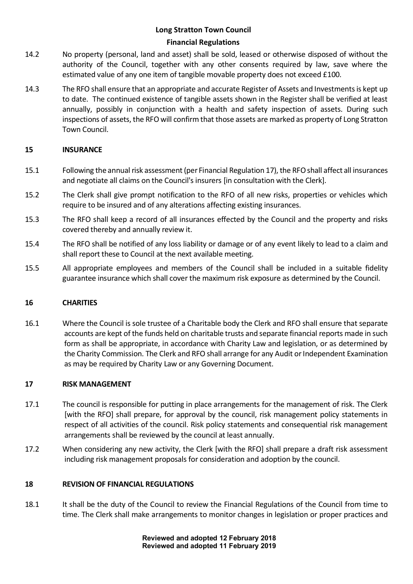- 14.2 No property (personal, land and asset) shall be sold, leased or otherwise disposed of without the authority of the Council, together with any other consents required by law, save where the estimated value of any one item of tangible movable property does not exceed £100.
- 14.3 The RFO shall ensure that an appropriate and accurate Register of Assets and Investments is kept up to date. The continued existence of tangible assets shown in the Register shall be verified at least annually, possibly in conjunction with a health and safety inspection of assets. During such inspections of assets, the RFO will confirm that those assets are marked as property of Long Stratton Town Council.

#### **15 INSURANCE**

- 15.1 Following the annual risk assessment (per Financial Regulation 17), the RFO shall affect all insurances and negotiate all claims on the Council's insurers [in consultation with the Clerk].
- 15.2 The Clerk shall give prompt notification to the RFO of all new risks, properties or vehicles which require to be insured and of any alterations affecting existing insurances.
- 15.3 The RFO shall keep a record of all insurances effected by the Council and the property and risks covered thereby and annually review it.
- 15.4 The RFO shall be notified of any loss liability or damage or of any event likely to lead to a claim and shall report these to Council at the next available meeting.
- 15.5 All appropriate employees and members of the Council shall be included in a suitable fidelity guarantee insurance which shall cover the maximum risk exposure as determined by the Council.

#### **16 CHARITIES**

16.1 Where the Council is sole trustee of a Charitable body the Clerk and RFO shall ensure that separate accounts are kept of the funds held on charitable trusts and separate financial reports made in such form as shall be appropriate, in accordance with Charity Law and legislation, or as determined by the Charity Commission. The Clerk and RFO shall arrange for any Audit or Independent Examination as may be required by Charity Law or any Governing Document.

#### **17 RISK MANAGEMENT**

- 17.1 The council is responsible for putting in place arrangements for the management of risk. The Clerk [with the RFO] shall prepare, for approval by the council, risk management policy statements in respect of all activities of the council. Risk policy statements and consequential risk management arrangements shall be reviewed by the council at least annually.
- 17.2 When considering any new activity, the Clerk [with the RFO] shall prepare a draft risk assessment including risk management proposals for consideration and adoption by the council.

#### **18 REVISION OF FINANCIAL REGULATIONS**

18.1 It shall be the duty of the Council to review the Financial Regulations of the Council from time to time. The Clerk shall make arrangements to monitor changes in legislation or proper practices and